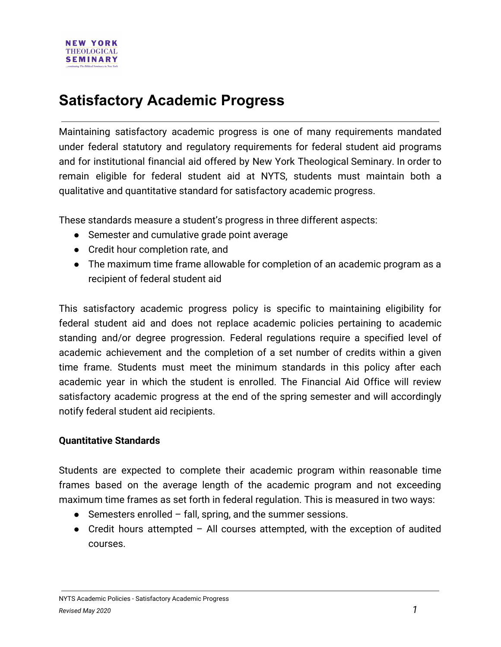# **Satisfactory Academic Progress**

Maintaining satisfactory academic progress is one of many requirements mandated under federal statutory and regulatory requirements for federal student aid programs and for institutional financial aid offered by New York Theological Seminary. In order to remain eligible for federal student aid at NYTS, students must maintain both a qualitative and quantitative standard for satisfactory academic progress.

These standards measure a student's progress in three different aspects:

- Semester and cumulative grade point average
- Credit hour completion rate, and
- The maximum time frame allowable for completion of an academic program as a recipient of federal student aid

This satisfactory academic progress policy is specific to maintaining eligibility for federal student aid and does not replace academic policies pertaining to academic standing and/or degree progression. Federal regulations require a specified level of academic achievement and the completion of a set number of credits within a given time frame. Students must meet the minimum standards in this policy after each academic year in which the student is enrolled. The Financial Aid Office will review satisfactory academic progress at the end of the spring semester and will accordingly notify federal student aid recipients.

### **Quantitative Standards**

Students are expected to complete their academic program within reasonable time frames based on the average length of the academic program and not exceeding maximum time frames as set forth in federal regulation. This is measured in two ways:

- $\bullet$  Semesters enrolled fall, spring, and the summer sessions.
- Credit hours attempted  $-$  All courses attempted, with the exception of audited courses.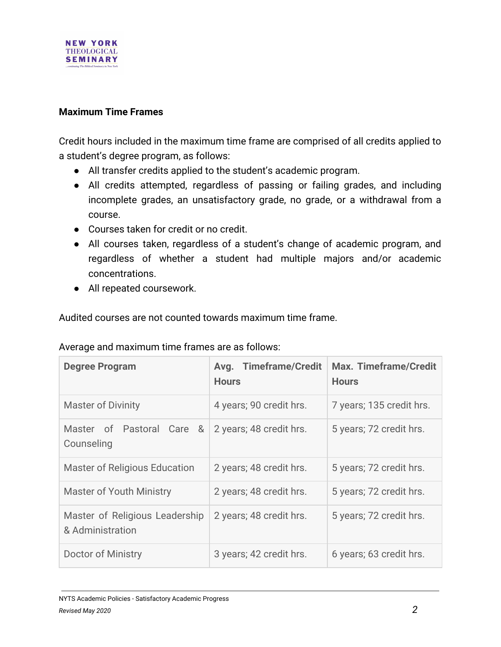

#### **Maximum Time Frames**

Credit hours included in the maximum time frame are comprised of all credits applied to a student's degree program, as follows:

- All transfer credits applied to the student's academic program.
- All credits attempted, regardless of passing or failing grades, and including incomplete grades, an unsatisfactory grade, no grade, or a withdrawal from a course.
- Courses taken for credit or no credit.
- All courses taken, regardless of a student's change of academic program, and regardless of whether a student had multiple majors and/or academic concentrations.
- All repeated coursework.

Audited courses are not counted towards maximum time frame.

| Average and maximum time frames are as follows: |  |  |  |
|-------------------------------------------------|--|--|--|
|                                                 |  |  |  |

| <b>Degree Program</b>                              | Avg. Timeframe/Credit<br><b>Hours</b> | <b>Max. Timeframe/Credit</b><br><b>Hours</b> |
|----------------------------------------------------|---------------------------------------|----------------------------------------------|
| <b>Master of Divinity</b>                          | 4 years; 90 credit hrs.               | 7 years; 135 credit hrs.                     |
| Master of Pastoral Care &<br>Counseling            | 2 years; 48 credit hrs.               | 5 years; 72 credit hrs.                      |
| <b>Master of Religious Education</b>               | 2 years; 48 credit hrs.               | 5 years; 72 credit hrs.                      |
| <b>Master of Youth Ministry</b>                    | 2 years; 48 credit hrs.               | 5 years; 72 credit hrs.                      |
| Master of Religious Leadership<br>& Administration | 2 years; 48 credit hrs.               | 5 years; 72 credit hrs.                      |
| Doctor of Ministry                                 | 3 years; 42 credit hrs.               | 6 years; 63 credit hrs.                      |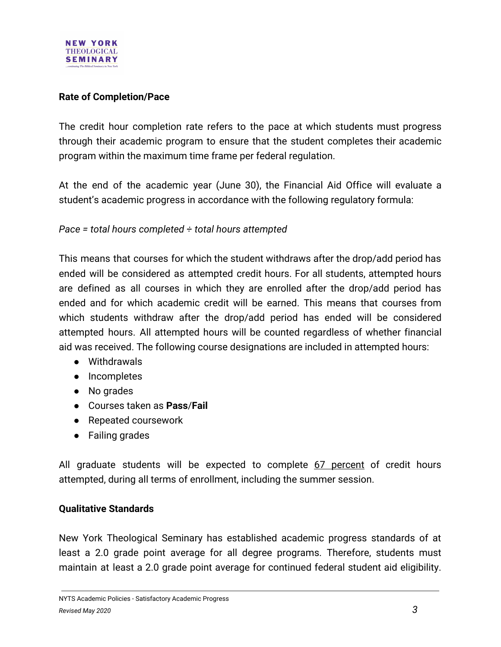

### **Rate of Completion/Pace**

The credit hour completion rate refers to the pace at which students must progress through their academic program to ensure that the student completes their academic program within the maximum time frame per federal regulation.

At the end of the academic year (June 30), the Financial Aid Office will evaluate a student's academic progress in accordance with the following regulatory formula:

*Pace = total hours completed ÷ total hours attempted*

This means that courses for which the student withdraws after the drop/add period has ended will be considered as attempted credit hours. For all students, attempted hours are defined as all courses in which they are enrolled after the drop/add period has ended and for which academic credit will be earned. This means that courses from which students withdraw after the drop/add period has ended will be considered attempted hours. All attempted hours will be counted regardless of whether financial aid was received. The following course designations are included in attempted hours:

- Withdrawals
- Incompletes
- No grades
- Courses taken as **Pass**/**Fail**
- Repeated coursework
- Failing grades

All graduate students will be expected to complete 67 percent of credit hours attempted, during all terms of enrollment, including the summer session.

### **Qualitative Standards**

New York Theological Seminary has established academic progress standards of at least a 2.0 grade point average for all degree programs. Therefore, students must maintain at least a 2.0 grade point average for continued federal student aid eligibility.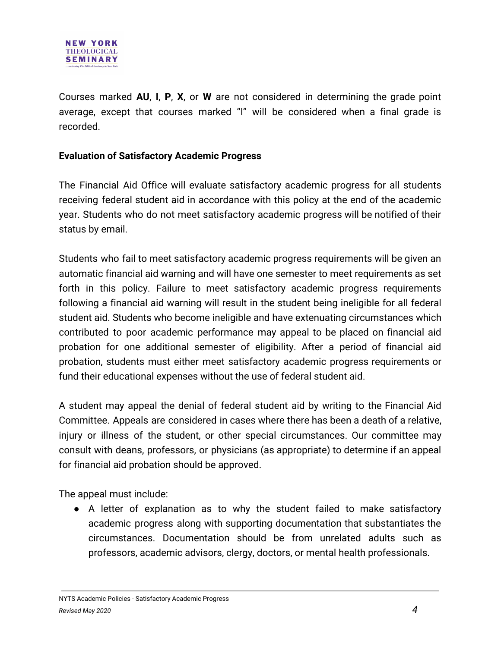Courses marked **AU**, **I**, **P**, **X**, or **W** are not considered in determining the grade point average, except that courses marked "I" will be considered when a final grade is recorded.

## **Evaluation of Satisfactory Academic Progress**

The Financial Aid Office will evaluate satisfactory academic progress for all students receiving federal student aid in accordance with this policy at the end of the academic year. Students who do not meet satisfactory academic progress will be notified of their status by email.

Students who fail to meet satisfactory academic progress requirements will be given an automatic financial aid warning and will have one semester to meet requirements as set forth in this policy. Failure to meet satisfactory academic progress requirements following a financial aid warning will result in the student being ineligible for all federal student aid. Students who become ineligible and have extenuating circumstances which contributed to poor academic performance may appeal to be placed on financial aid probation for one additional semester of eligibility. After a period of financial aid probation, students must either meet satisfactory academic progress requirements or fund their educational expenses without the use of federal student aid.

A student may appeal the denial of federal student aid by writing to the Financial Aid Committee. Appeals are considered in cases where there has been a death of a relative, injury or illness of the student, or other special circumstances. Our committee may consult with deans, professors, or physicians (as appropriate) to determine if an appeal for financial aid probation should be approved.

The appeal must include:

● A letter of explanation as to why the student failed to make satisfactory academic progress along with supporting documentation that substantiates the circumstances. Documentation should be from unrelated adults such as professors, academic advisors, clergy, doctors, or mental health professionals.